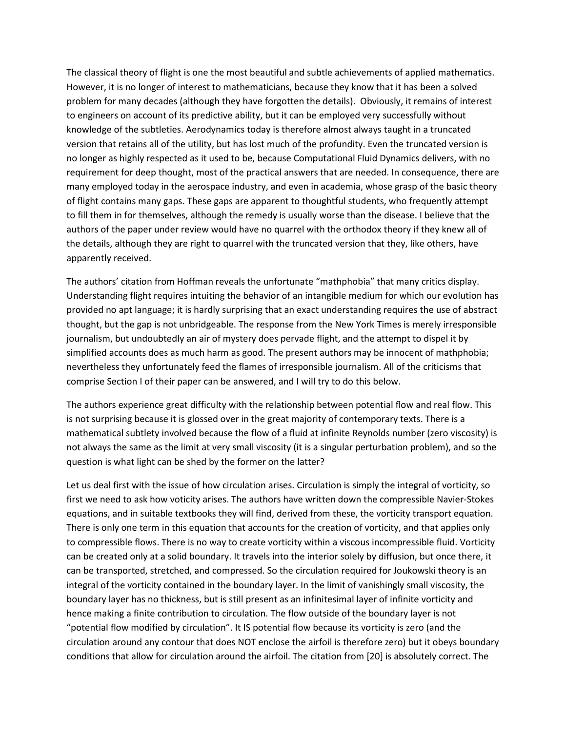The classical theory of flight is one the most beautiful and subtle achievements of applied mathematics. However, it is no longer of interest to mathematicians, because they know that it has been a solved problem for many decades (although they have forgotten the details). Obviously, it remains of interest to engineers on account of its predictive ability, but it can be employed very successfully without knowledge of the subtleties. Aerodynamics today is therefore almost always taught in a truncated version that retains all of the utility, but has lost much of the profundity. Even the truncated version is no longer as highly respected as it used to be, because Computational Fluid Dynamics delivers, with no requirement for deep thought, most of the practical answers that are needed. In consequence, there are many employed today in the aerospace industry, and even in academia, whose grasp of the basic theory of flight contains many gaps. These gaps are apparent to thoughtful students, who frequently attempt to fill them in for themselves, although the remedy is usually worse than the disease. I believe that the authors of the paper under review would have no quarrel with the orthodox theory if they knew all of the details, although they are right to quarrel with the truncated version that they, like others, have apparently received.

The authors' citation from Hoffman reveals the unfortunate "mathphobia" that many critics display. Understanding flight requires intuiting the behavior of an intangible medium for which our evolution has provided no apt language; it is hardly surprising that an exact understanding requires the use of abstract thought, but the gap is not unbridgeable. The response from the New York Times is merely irresponsible journalism, but undoubtedly an air of mystery does pervade flight, and the attempt to dispel it by simplified accounts does as much harm as good. The present authors may be innocent of mathphobia; nevertheless they unfortunately feed the flames of irresponsible journalism. All of the criticisms that comprise Section I of their paper can be answered, and I will try to do this below.

The authors experience great difficulty with the relationship between potential flow and real flow. This is not surprising because it is glossed over in the great majority of contemporary texts. There is a mathematical subtlety involved because the flow of a fluid at infinite Reynolds number (zero viscosity) is not always the same as the limit at very small viscosity (it is a singular perturbation problem), and so the question is what light can be shed by the former on the latter?

Let us deal first with the issue of how circulation arises. Circulation is simply the integral of vorticity, so first we need to ask how voticity arises. The authors have written down the compressible Navier-Stokes equations, and in suitable textbooks they will find, derived from these, the vorticity transport equation. There is only one term in this equation that accounts for the creation of vorticity, and that applies only to compressible flows. There is no way to create vorticity within a viscous incompressible fluid. Vorticity can be created only at a solid boundary. It travels into the interior solely by diffusion, but once there, it can be transported, stretched, and compressed. So the circulation required for Joukowski theory is an integral of the vorticity contained in the boundary layer. In the limit of vanishingly small viscosity, the boundary layer has no thickness, but is still present as an infinitesimal layer of infinite vorticity and hence making a finite contribution to circulation. The flow outside of the boundary layer is not "potential flow modified by circulation". It IS potential flow because its vorticity is zero (and the circulation around any contour that does NOT enclose the airfoil is therefore zero) but it obeys boundary conditions that allow for circulation around the airfoil. The citation from [20] is absolutely correct. The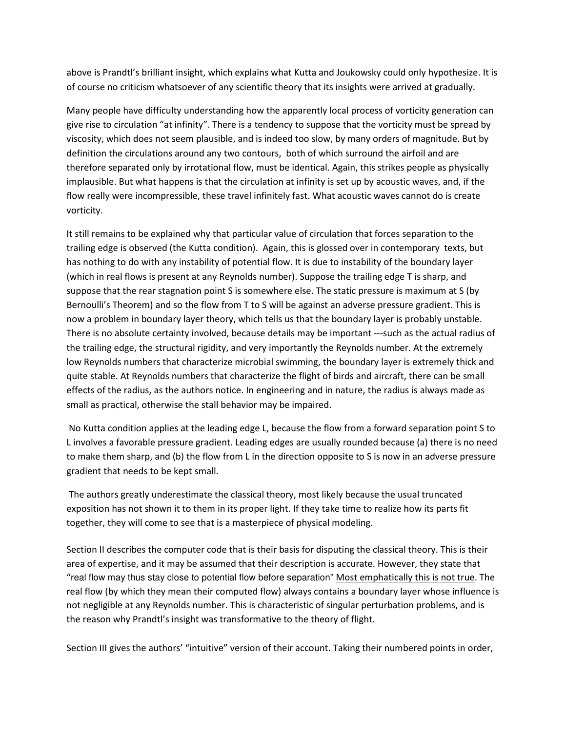above is Prandtl's brilliant insight, which explains what Kutta and Joukowsky could only hypothesize. It is of course no criticism whatsoever of any scientific theory that its insights were arrived at gradually.

Many people have difficulty understanding how the apparently local process of vorticity generation can give rise to circulation "at infinity". There is a tendency to suppose that the vorticity must be spread by viscosity, which does not seem plausible, and is indeed too slow, by many orders of magnitude. But by definition the circulations around any two contours, both of which surround the airfoil and are therefore separated only by irrotational flow, must be identical. Again, this strikes people as physically implausible. But what happens is that the circulation at infinity is set up by acoustic waves, and, if the flow really were incompressible, these travel infinitely fast. What acoustic waves cannot do is create vorticity.

It still remains to be explained why that particular value of circulation that forces separation to the trailing edge is observed (the Kutta condition). Again, this is glossed over in contemporary texts, but has nothing to do with any instability of potential flow. It is due to instability of the boundary layer (which in real flows is present at any Reynolds number). Suppose the trailing edge T is sharp, and suppose that the rear stagnation point S is somewhere else. The static pressure is maximum at S (by Bernoulli's Theorem) and so the flow from T to S will be against an adverse pressure gradient. This is now a problem in boundary layer theory, which tells us that the boundary layer is probably unstable. There is no absolute certainty involved, because details may be important ---such as the actual radius of the trailing edge, the structural rigidity, and very importantly the Reynolds number. At the extremely low Reynolds numbers that characterize microbial swimming, the boundary layer is extremely thick and quite stable. At Reynolds numbers that characterize the flight of birds and aircraft, there can be small effects of the radius, as the authors notice. In engineering and in nature, the radius is always made as small as practical, otherwise the stall behavior may be impaired.

 No Kutta condition applies at the leading edge L, because the flow from a forward separation point S to L involves a favorable pressure gradient. Leading edges are usually rounded because (a) there is no need to make them sharp, and (b) the flow from L in the direction opposite to S is now in an adverse pressure gradient that needs to be kept small.

 The authors greatly underestimate the classical theory, most likely because the usual truncated exposition has not shown it to them in its proper light. If they take time to realize how its parts fit together, they will come to see that is a masterpiece of physical modeling.

Section II describes the computer code that is their basis for disputing the classical theory. This is their area of expertise, and it may be assumed that their description is accurate. However, they state that "real flow may thus stay close to potential flow before separation" Most emphatically this is not true. The real flow (by which they mean their computed flow) always contains a boundary layer whose influence is not negligible at any Reynolds number. This is characteristic of singular perturbation problems, and is the reason why Prandtl's insight was transformative to the theory of flight.

Section III gives the authors' "intuitive" version of their account. Taking their numbered points in order,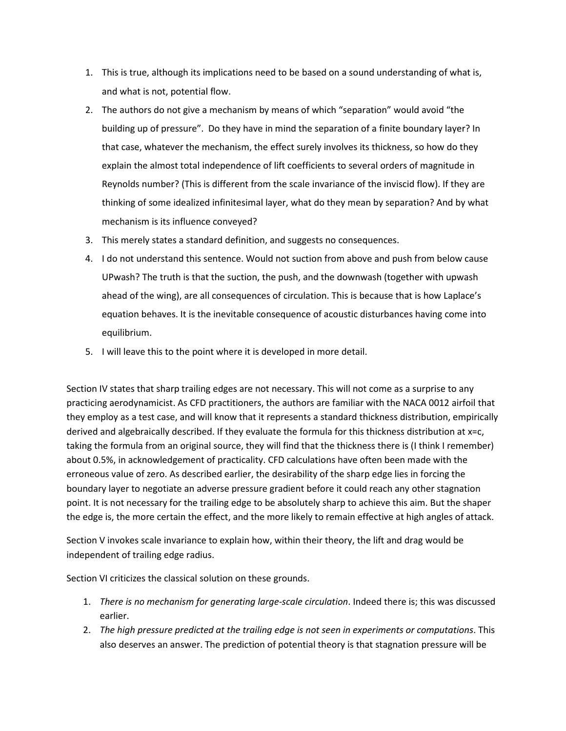- 1. This is true, although its implications need to be based on a sound understanding of what is, and what is not, potential flow.
- 2. The authors do not give a mechanism by means of which "separation" would avoid "the building up of pressure". Do they have in mind the separation of a finite boundary layer? In that case, whatever the mechanism, the effect surely involves its thickness, so how do they explain the almost total independence of lift coefficients to several orders of magnitude in Reynolds number? (This is different from the scale invariance of the inviscid flow). If they are thinking of some idealized infinitesimal layer, what do they mean by separation? And by what mechanism is its influence conveyed?
- 3. This merely states a standard definition, and suggests no consequences.
- 4. I do not understand this sentence. Would not suction from above and push from below cause UPwash? The truth is that the suction, the push, and the downwash (together with upwash ahead of the wing), are all consequences of circulation. This is because that is how Laplace's equation behaves. It is the inevitable consequence of acoustic disturbances having come into equilibrium.
- 5. I will leave this to the point where it is developed in more detail.

Section IV states that sharp trailing edges are not necessary. This will not come as a surprise to any practicing aerodynamicist. As CFD practitioners, the authors are familiar with the NACA 0012 airfoil that they employ as a test case, and will know that it represents a standard thickness distribution, empirically derived and algebraically described. If they evaluate the formula for this thickness distribution at x=c, taking the formula from an original source, they will find that the thickness there is (I think I remember) about 0.5%, in acknowledgement of practicality. CFD calculations have often been made with the erroneous value of zero. As described earlier, the desirability of the sharp edge lies in forcing the boundary layer to negotiate an adverse pressure gradient before it could reach any other stagnation point. It is not necessary for the trailing edge to be absolutely sharp to achieve this aim. But the shaper the edge is, the more certain the effect, and the more likely to remain effective at high angles of attack.

Section V invokes scale invariance to explain how, within their theory, the lift and drag would be independent of trailing edge radius.

Section VI criticizes the classical solution on these grounds.

- 1. *There is no mechanism for generating large-scale circulation*. Indeed there is; this was discussed earlier.
- 2. *The high pressure predicted at the trailing edge is not seen in experiments or computations*. This also deserves an answer. The prediction of potential theory is that stagnation pressure will be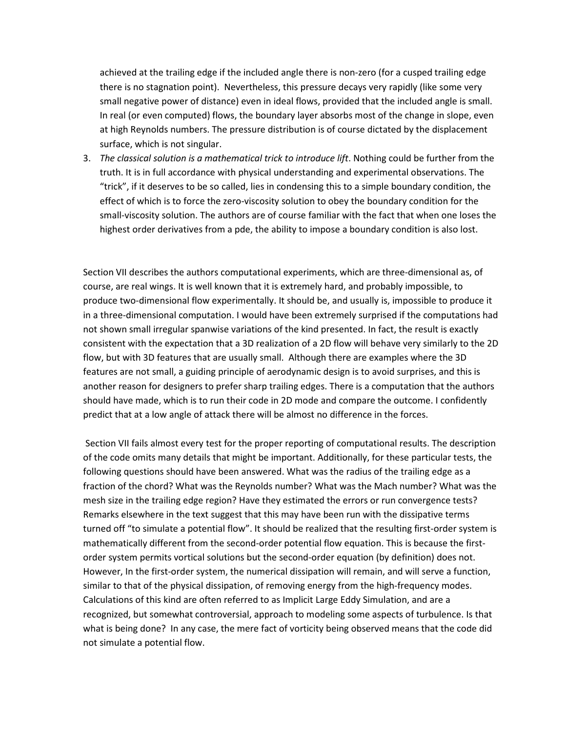achieved at the trailing edge if the included angle there is non-zero (for a cusped trailing edge there is no stagnation point). Nevertheless, this pressure decays very rapidly (like some very small negative power of distance) even in ideal flows, provided that the included angle is small. In real (or even computed) flows, the boundary layer absorbs most of the change in slope, even at high Reynolds numbers. The pressure distribution is of course dictated by the displacement surface, which is not singular.

3. *The classical solution is a mathematical trick to introduce lift*. Nothing could be further from the truth. It is in full accordance with physical understanding and experimental observations. The "trick", if it deserves to be so called, lies in condensing this to a simple boundary condition, the effect of which is to force the zero-viscosity solution to obey the boundary condition for the small-viscosity solution. The authors are of course familiar with the fact that when one loses the highest order derivatives from a pde, the ability to impose a boundary condition is also lost.

Section VII describes the authors computational experiments, which are three-dimensional as, of course, are real wings. It is well known that it is extremely hard, and probably impossible, to produce two-dimensional flow experimentally. It should be, and usually is, impossible to produce it in a three-dimensional computation. I would have been extremely surprised if the computations had not shown small irregular spanwise variations of the kind presented. In fact, the result is exactly consistent with the expectation that a 3D realization of a 2D flow will behave very similarly to the 2D flow, but with 3D features that are usually small. Although there are examples where the 3D features are not small, a guiding principle of aerodynamic design is to avoid surprises, and this is another reason for designers to prefer sharp trailing edges. There is a computation that the authors should have made, which is to run their code in 2D mode and compare the outcome. I confidently predict that at a low angle of attack there will be almost no difference in the forces.

 Section VII fails almost every test for the proper reporting of computational results. The description of the code omits many details that might be important. Additionally, for these particular tests, the following questions should have been answered. What was the radius of the trailing edge as a fraction of the chord? What was the Reynolds number? What was the Mach number? What was the mesh size in the trailing edge region? Have they estimated the errors or run convergence tests? Remarks elsewhere in the text suggest that this may have been run with the dissipative terms turned off "to simulate a potential flow". It should be realized that the resulting first-order system is mathematically different from the second-order potential flow equation. This is because the firstorder system permits vortical solutions but the second-order equation (by definition) does not. However, In the first-order system, the numerical dissipation will remain, and will serve a function, similar to that of the physical dissipation, of removing energy from the high-frequency modes. Calculations of this kind are often referred to as Implicit Large Eddy Simulation, and are a recognized, but somewhat controversial, approach to modeling some aspects of turbulence. Is that what is being done? In any case, the mere fact of vorticity being observed means that the code did not simulate a potential flow.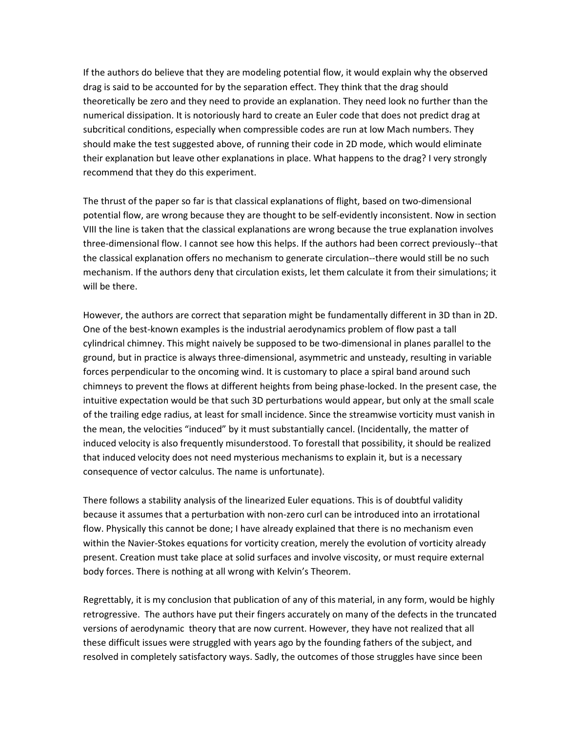If the authors do believe that they are modeling potential flow, it would explain why the observed drag is said to be accounted for by the separation effect. They think that the drag should theoretically be zero and they need to provide an explanation. They need look no further than the numerical dissipation. It is notoriously hard to create an Euler code that does not predict drag at subcritical conditions, especially when compressible codes are run at low Mach numbers. They should make the test suggested above, of running their code in 2D mode, which would eliminate their explanation but leave other explanations in place. What happens to the drag? I very strongly recommend that they do this experiment.

The thrust of the paper so far is that classical explanations of flight, based on two-dimensional potential flow, are wrong because they are thought to be self-evidently inconsistent. Now in section VIII the line is taken that the classical explanations are wrong because the true explanation involves three-dimensional flow. I cannot see how this helps. If the authors had been correct previously--that the classical explanation offers no mechanism to generate circulation--there would still be no such mechanism. If the authors deny that circulation exists, let them calculate it from their simulations; it will be there.

However, the authors are correct that separation might be fundamentally different in 3D than in 2D. One of the best-known examples is the industrial aerodynamics problem of flow past a tall cylindrical chimney. This might naively be supposed to be two-dimensional in planes parallel to the ground, but in practice is always three-dimensional, asymmetric and unsteady, resulting in variable forces perpendicular to the oncoming wind. It is customary to place a spiral band around such chimneys to prevent the flows at different heights from being phase-locked. In the present case, the intuitive expectation would be that such 3D perturbations would appear, but only at the small scale of the trailing edge radius, at least for small incidence. Since the streamwise vorticity must vanish in the mean, the velocities "induced" by it must substantially cancel. (Incidentally, the matter of induced velocity is also frequently misunderstood. To forestall that possibility, it should be realized that induced velocity does not need mysterious mechanisms to explain it, but is a necessary consequence of vector calculus. The name is unfortunate).

There follows a stability analysis of the linearized Euler equations. This is of doubtful validity because it assumes that a perturbation with non-zero curl can be introduced into an irrotational flow. Physically this cannot be done; I have already explained that there is no mechanism even within the Navier-Stokes equations for vorticity creation, merely the evolution of vorticity already present. Creation must take place at solid surfaces and involve viscosity, or must require external body forces. There is nothing at all wrong with Kelvin's Theorem.

Regrettably, it is my conclusion that publication of any of this material, in any form, would be highly retrogressive. The authors have put their fingers accurately on many of the defects in the truncated versions of aerodynamic theory that are now current. However, they have not realized that all these difficult issues were struggled with years ago by the founding fathers of the subject, and resolved in completely satisfactory ways. Sadly, the outcomes of those struggles have since been